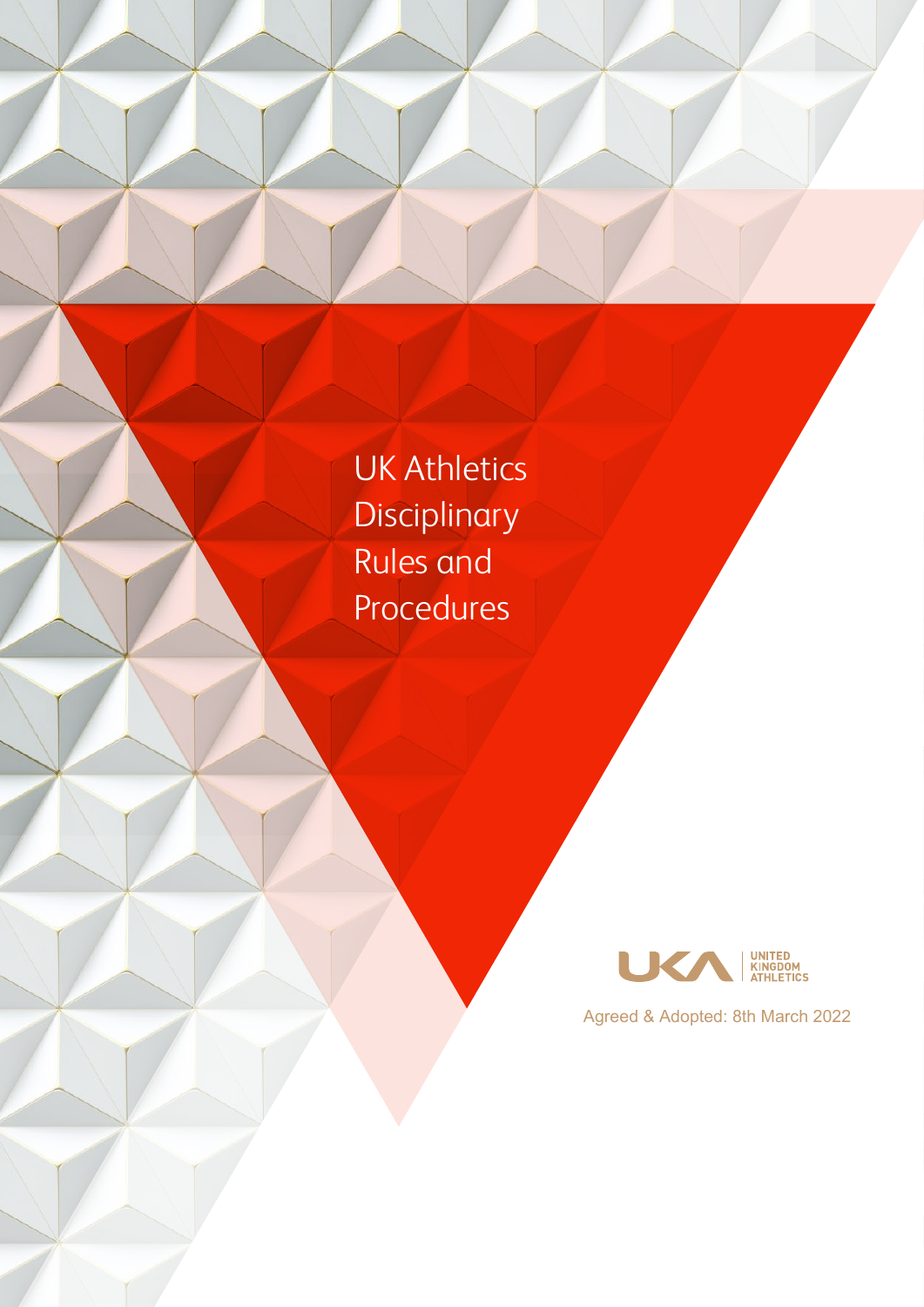UK Athletics **Disciplinary** Rules and Procedures



Agreed & Adopted: 8th March 2022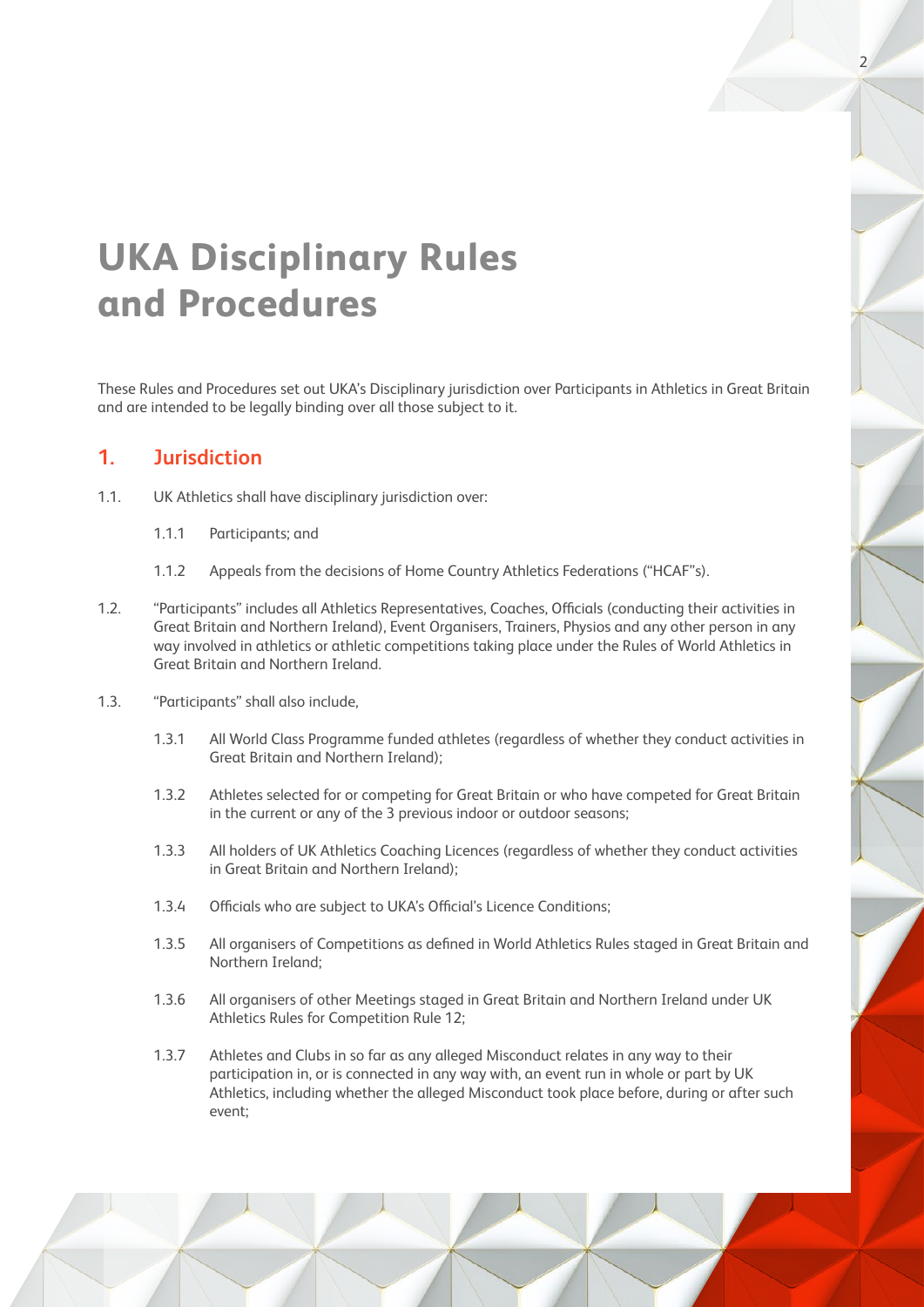# **UKA Disciplinary Rules and Procedures**

These Rules and Procedures set out UKA's Disciplinary jurisdiction over Participants in Athletics in Great Britain and are intended to be legally binding over all those subject to it.

2

#### **1. Jurisdiction**

- 1.1. UK Athletics shall have disciplinary jurisdiction over:
	- 1.1.1 Participants; and
	- 1.1.2 Appeals from the decisions of Home Country Athletics Federations ("HCAF"s).
- 1.2. "Participants" includes all Athletics Representatives, Coaches, Officials (conducting their activities in Great Britain and Northern Ireland), Event Organisers, Trainers, Physios and any other person in any way involved in athletics or athletic competitions taking place under the Rules of World Athletics in Great Britain and Northern Ireland.
- 1.3. "Participants" shall also include,
	- 1.3.1 All World Class Programme funded athletes (regardless of whether they conduct activities in Great Britain and Northern Ireland);
	- 1.3.2 Athletes selected for or competing for Great Britain or who have competed for Great Britain in the current or any of the 3 previous indoor or outdoor seasons;
	- 1.3.3 All holders of UK Athletics Coaching Licences (regardless of whether they conduct activities in Great Britain and Northern Ireland);
	- 1.3.4 Officials who are subject to UKA's Official's Licence Conditions;
	- 1.3.5 All organisers of Competitions as defined in World Athletics Rules staged in Great Britain and Northern Ireland;
	- 1.3.6 All organisers of other Meetings staged in Great Britain and Northern Ireland under UK Athletics Rules for Competition Rule 12;
	- 1.3.7 Athletes and Clubs in so far as any alleged Misconduct relates in any way to their participation in, or is connected in any way with, an event run in whole or part by UK Athletics, including whether the alleged Misconduct took place before, during or after such event;

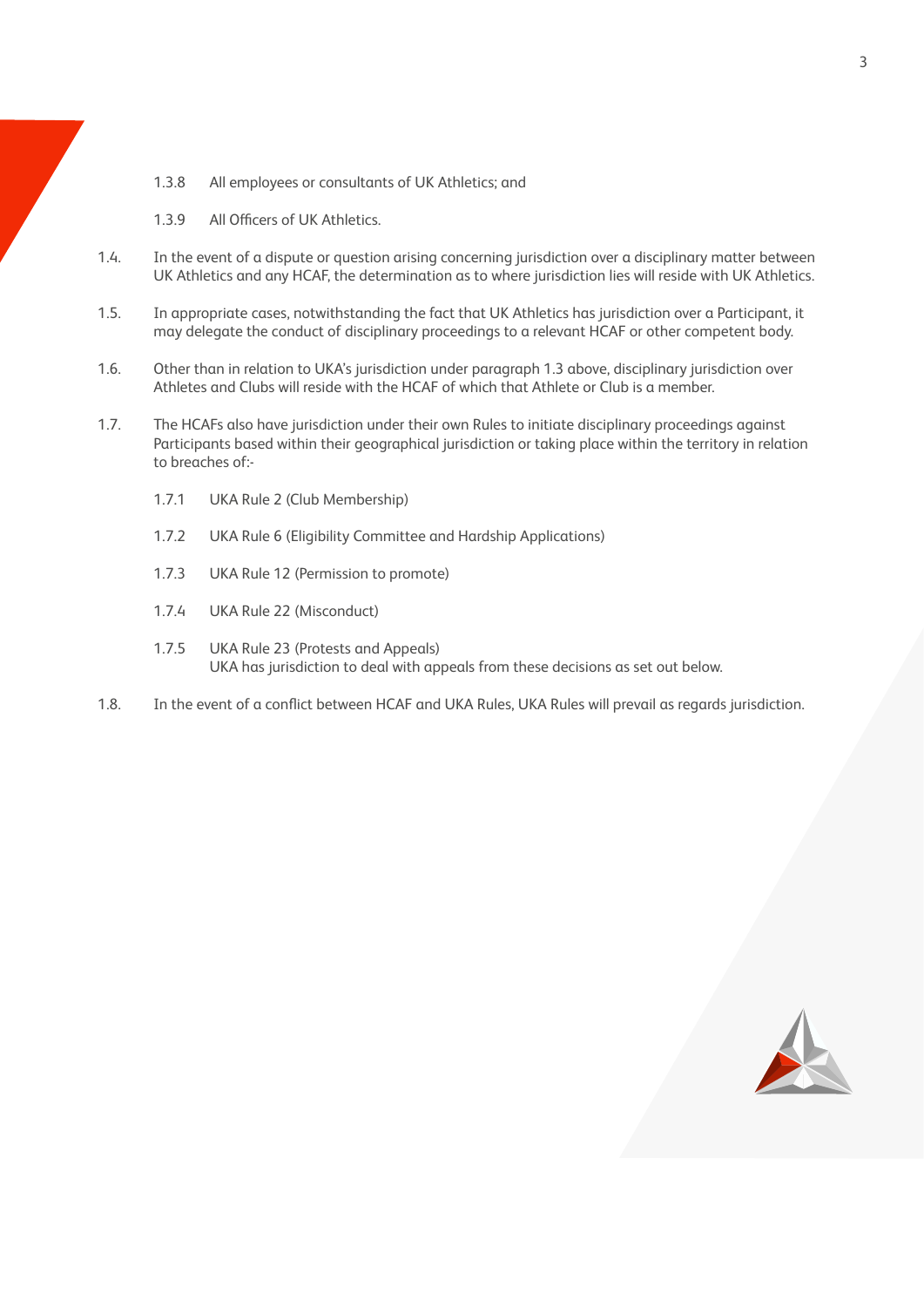1.3.8 All employees or consultants of UK Athletics; and

1.3.9 All Officers of UK Athletics.

- 1.4. In the event of a dispute or question arising concerning jurisdiction over a disciplinary matter between UK Athletics and any HCAF, the determination as to where jurisdiction lies will reside with UK Athletics.
- 1.5. In appropriate cases, notwithstanding the fact that UK Athletics has jurisdiction over a Participant, it may delegate the conduct of disciplinary proceedings to a relevant HCAF or other competent body.
- 1.6. Other than in relation to UKA's jurisdiction under paragraph 1.3 above, disciplinary jurisdiction over Athletes and Clubs will reside with the HCAF of which that Athlete or Club is a member.
- 1.7. The HCAFs also have jurisdiction under their own Rules to initiate disciplinary proceedings against Participants based within their geographical jurisdiction or taking place within the territory in relation to breaches of:-
	- 1.7.1 UKA Rule 2 (Club Membership)
	- 1.7.2 UKA Rule 6 (Eligibility Committee and Hardship Applications)
	- 1.7.3 UKA Rule 12 (Permission to promote)
	- 1.7.4 UKA Rule 22 (Misconduct)
	- 1.7.5 UKA Rule 23 (Protests and Appeals) UKA has jurisdiction to deal with appeals from these decisions as set out below.
- 1.8. In the event of a conflict between HCAF and UKA Rules, UKA Rules will prevail as regards jurisdiction.

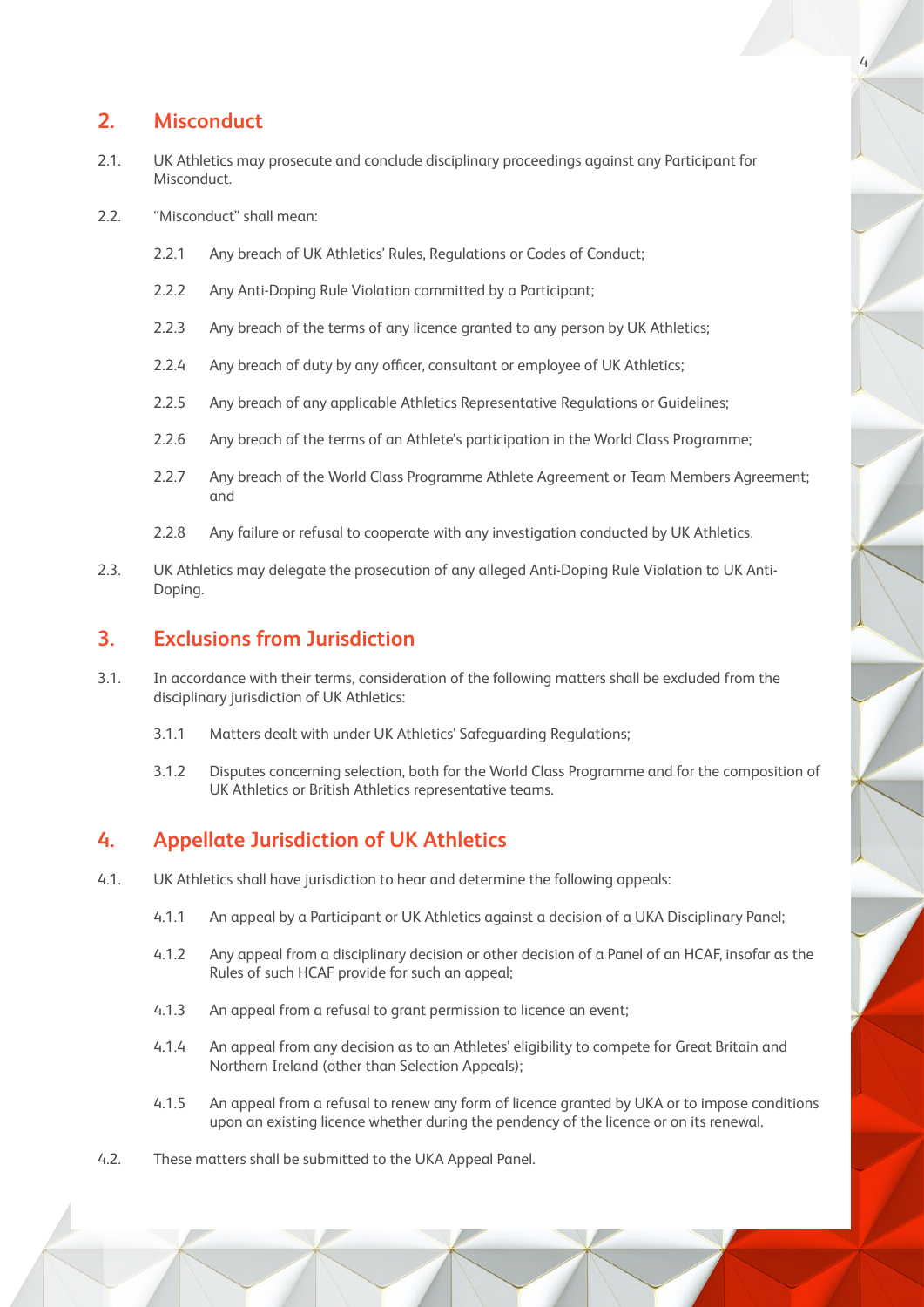## **2. Misconduct**

- 2.1. UK Athletics may prosecute and conclude disciplinary proceedings against any Participant for Misconduct.
- 2.2. "Misconduct" shall mean:
	- 2.2.1 Any breach of UK Athletics' Rules, Regulations or Codes of Conduct:
	- 2.2.2 Any Anti-Doping Rule Violation committed by a Participant;
	- 2.2.3 Any breach of the terms of any licence granted to any person by UK Athletics;
	- 2.2.4 Any breach of duty by any officer, consultant or employee of UK Athletics;
	- 2.2.5 Any breach of any applicable Athletics Representative Regulations or Guidelines;
	- 2.2.6 Any breach of the terms of an Athlete's participation in the World Class Programme;
	- 2.2.7 Any breach of the World Class Programme Athlete Agreement or Team Members Agreement; and
	- 2.2.8 Any failure or refusal to cooperate with any investigation conducted by UK Athletics.
- 2.3. UK Athletics may delegate the prosecution of any alleged Anti-Doping Rule Violation to UK Anti-Doping.

## **3. Exclusions from Jurisdiction**

- 3.1. In accordance with their terms, consideration of the following matters shall be excluded from the disciplinary jurisdiction of UK Athletics:
	- 3.1.1 Matters dealt with under UK Athletics' Safeguarding Regulations;
	- 3.1.2 Disputes concerning selection, both for the World Class Programme and for the composition of UK Athletics or British Athletics representative teams.

## **4. Appellate Jurisdiction of UK Athletics**

- 4.1. UK Athletics shall have jurisdiction to hear and determine the following appeals:
	- 4.1.1 An appeal by a Participant or UK Athletics against a decision of a UKA Disciplinary Panel;
	- 4.1.2 Any appeal from a disciplinary decision or other decision of a Panel of an HCAF, insofar as the Rules of such HCAF provide for such an appeal;
	- 4.1.3 An appeal from a refusal to grant permission to licence an event;
	- 4.1.4 An appeal from any decision as to an Athletes' eligibility to compete for Great Britain and Northern Ireland (other than Selection Appeals);
	- 4.1.5 An appeal from a refusal to renew any form of licence granted by UKA or to impose conditions upon an existing licence whether during the pendency of the licence or on its renewal.
- 4.2. These matters shall be submitted to the UKA Appeal Panel.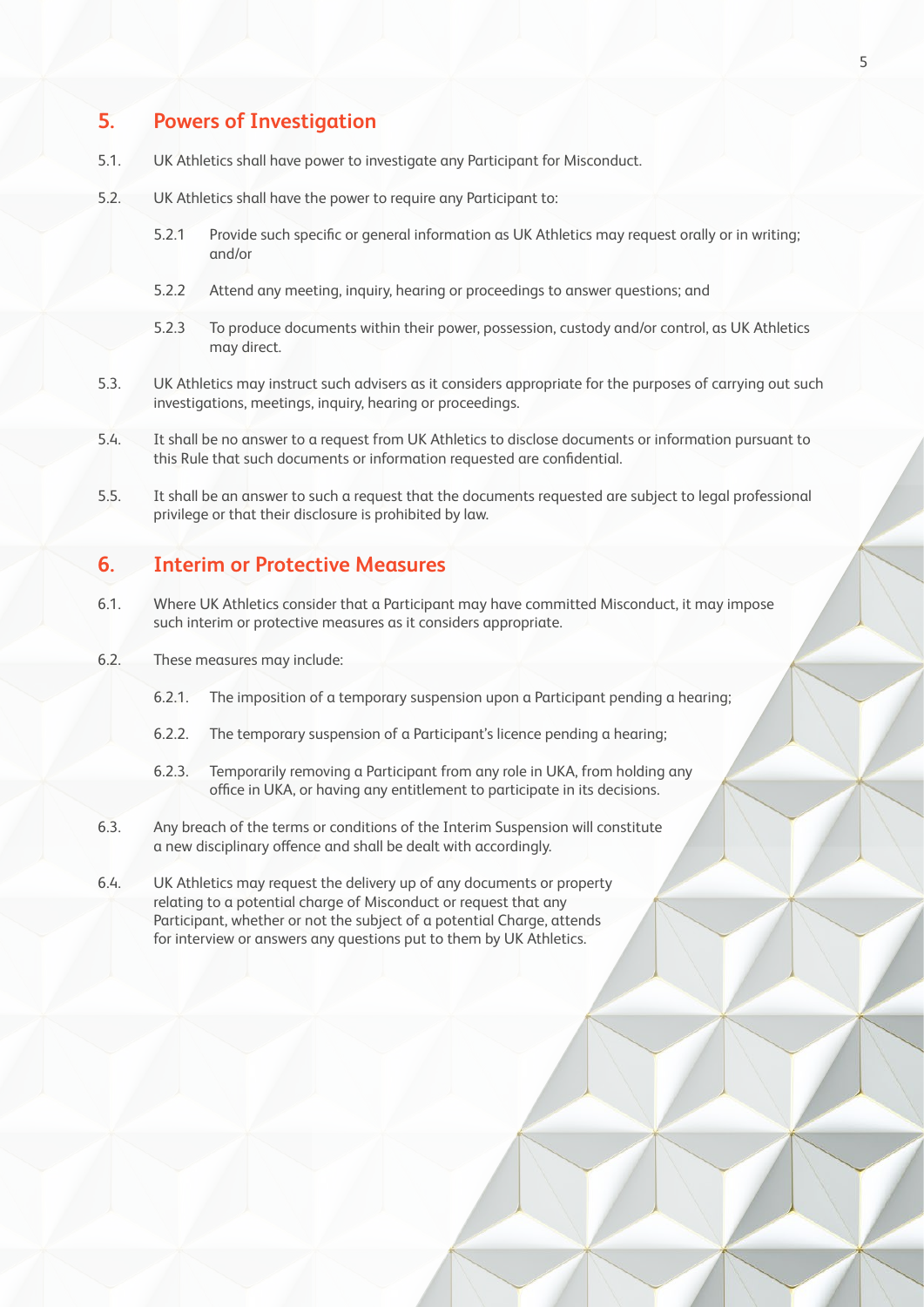## **5. Powers of Investigation**

- 5.1. UK Athletics shall have power to investigate any Participant for Misconduct.
- 5.2. UK Athletics shall have the power to require any Participant to:
	- 5.2.1 Provide such specific or general information as UK Athletics may request orally or in writing; and/or
	- 5.2.2 Attend any meeting, inquiry, hearing or proceedings to answer questions; and
	- 5.2.3 To produce documents within their power, possession, custody and/or control, as UK Athletics may direct.
- 5.3. UK Athletics may instruct such advisers as it considers appropriate for the purposes of carrying out such investigations, meetings, inquiry, hearing or proceedings.
- 5.4. It shall be no answer to a request from UK Athletics to disclose documents or information pursuant to this Rule that such documents or information requested are confidential.
- 5.5. It shall be an answer to such a request that the documents requested are subject to legal professional privilege or that their disclosure is prohibited by law.

#### **6. Interim or Protective Measures**

- 6.1. Where UK Athletics consider that a Participant may have committed Misconduct, it may impose such interim or protective measures as it considers appropriate.
- 6.2. These measures may include:
	- 6.2.1. The imposition of a temporary suspension upon a Participant pending a hearing;
	- 6.2.2. The temporary suspension of a Participant's licence pending a hearing;
	- 6.2.3. Temporarily removing a Participant from any role in UKA, from holding any office in UKA, or having any entitlement to participate in its decisions.
- 6.3. Any breach of the terms or conditions of the Interim Suspension will constitute a new disciplinary offence and shall be dealt with accordingly.
- 6.4. UK Athletics may request the delivery up of any documents or property relating to a potential charge of Misconduct or request that any Participant, whether or not the subject of a potential Charge, attends for interview or answers any questions put to them by UK Athletics.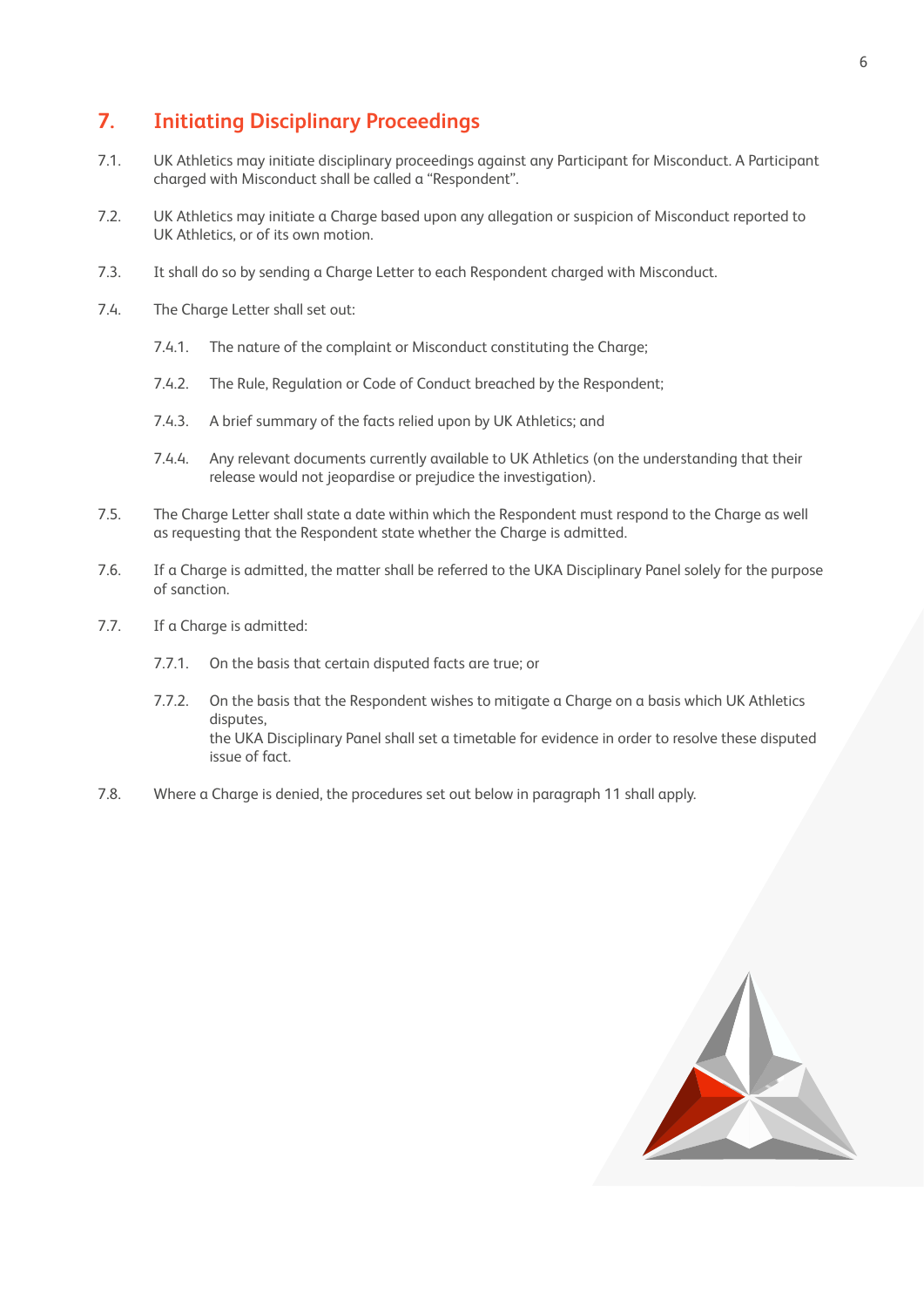## **7. Initiating Disciplinary Proceedings**

- 7.1. UK Athletics may initiate disciplinary proceedings against any Participant for Misconduct. A Participant charged with Misconduct shall be called a "Respondent".
- 7.2. UK Athletics may initiate a Charge based upon any allegation or suspicion of Misconduct reported to UK Athletics, or of its own motion.
- 7.3. It shall do so by sending a Charge Letter to each Respondent charged with Misconduct.
- 7.4. The Charge Letter shall set out:
	- 7.4.1. The nature of the complaint or Misconduct constituting the Charge;
	- 7.4.2. The Rule, Regulation or Code of Conduct breached by the Respondent;
	- 7.4.3. A brief summary of the facts relied upon by UK Athletics; and
	- 7.4.4. Any relevant documents currently available to UK Athletics (on the understanding that their release would not jeopardise or prejudice the investigation).
- 7.5. The Charge Letter shall state a date within which the Respondent must respond to the Charge as well as requesting that the Respondent state whether the Charge is admitted.
- 7.6. If a Charge is admitted, the matter shall be referred to the UKA Disciplinary Panel solely for the purpose of sanction.
- 7.7. If a Charge is admitted:
	- 7.7.1. On the basis that certain disputed facts are true; or
	- 7.7.2. On the basis that the Respondent wishes to mitigate a Charge on a basis which UK Athletics disputes, the UKA Disciplinary Panel shall set a timetable for evidence in order to resolve these disputed issue of fact.
- 7.8. Where a Charge is denied, the procedures set out below in paragraph 11 shall apply.

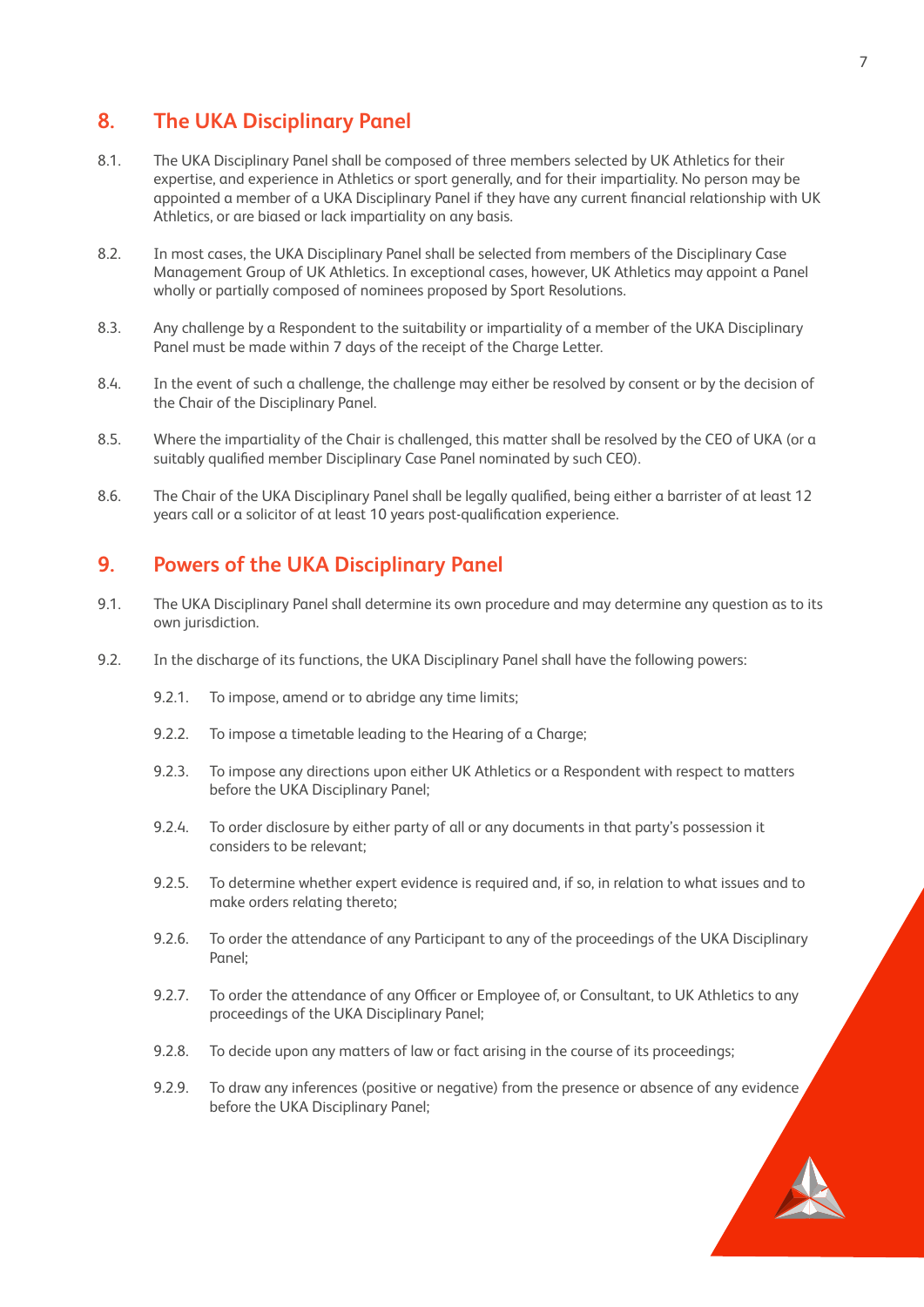#### **8. The UKA Disciplinary Panel**

- 8.1. The UKA Disciplinary Panel shall be composed of three members selected by UK Athletics for their expertise, and experience in Athletics or sport generally, and for their impartiality. No person may be appointed a member of a UKA Disciplinary Panel if they have any current financial relationship with UK Athletics, or are biased or lack impartiality on any basis.
- 8.2. In most cases, the UKA Disciplinary Panel shall be selected from members of the Disciplinary Case Management Group of UK Athletics. In exceptional cases, however, UK Athletics may appoint a Panel wholly or partially composed of nominees proposed by Sport Resolutions.
- 8.3. Any challenge by a Respondent to the suitability or impartiality of a member of the UKA Disciplinary Panel must be made within 7 days of the receipt of the Charge Letter.
- 8.4. In the event of such a challenge, the challenge may either be resolved by consent or by the decision of the Chair of the Disciplinary Panel.
- 8.5. Where the impartiality of the Chair is challenged, this matter shall be resolved by the CEO of UKA (or a suitably qualified member Disciplinary Case Panel nominated by such CEO).
- 8.6. The Chair of the UKA Disciplinary Panel shall be legally qualified, being either a barrister of at least 12 years call or a solicitor of at least 10 years post-qualification experience.

#### **9. Powers of the UKA Disciplinary Panel**

- 9.1. The UKA Disciplinary Panel shall determine its own procedure and may determine any question as to its own jurisdiction.
- 9.2. In the discharge of its functions, the UKA Disciplinary Panel shall have the following powers:
	- 9.2.1. To impose, amend or to abridge any time limits;
	- 9.2.2. To impose a timetable leading to the Hearing of a Charge;
	- 9.2.3. To impose any directions upon either UK Athletics or a Respondent with respect to matters before the UKA Disciplinary Panel;
	- 9.2.4. To order disclosure by either party of all or any documents in that party's possession it considers to be relevant;
	- 9.2.5. To determine whether expert evidence is required and, if so, in relation to what issues and to make orders relating thereto;
	- 9.2.6. To order the attendance of any Participant to any of the proceedings of the UKA Disciplinary Panel;
	- 9.2.7. To order the attendance of any Officer or Employee of, or Consultant, to UK Athletics to any proceedings of the UKA Disciplinary Panel;
	- 9.2.8. To decide upon any matters of law or fact arising in the course of its proceedings;
	- 9.2.9. To draw any inferences (positive or negative) from the presence or absence of any evidence before the UKA Disciplinary Panel;

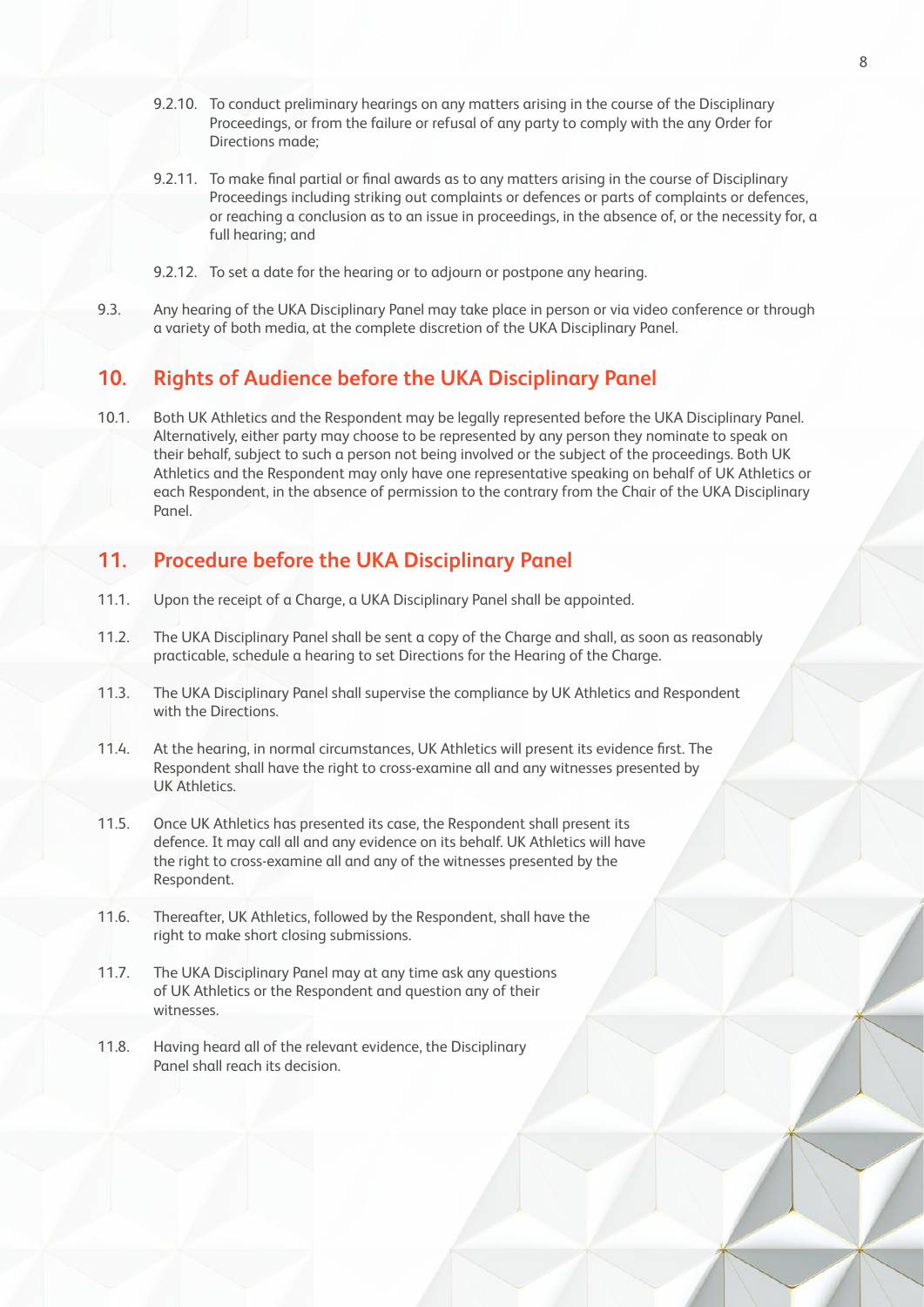- 9.2.10. To conduct preliminary hearings on any matters arising in the course of the Disciplinary Proceedings, or from the failure or refusal of any party to comply with the any Order for Directions made;
- 9.2.11. To make final partial or final awards as to any matters arising in the course of Disciplinary Proceedings including striking out complaints or defences or parts of complaints or defences, or reaching a conclusion as to an issue in proceedings, in the absence of, or the necessity for, a full hearing; and
- 9.2.12. To set a date for the hearing or to adjourn or postpone any hearing.
- 9.3. Any hearing of the UKA Disciplinary Panel may take place in person or via video conference or through a variety of both media, at the complete discretion of the UKA Disciplinary Panel.

## **10. Rights of Audience before the UKA Disciplinary Panel**

10.1. Both UK Athletics and the Respondent may be legally represented before the UKA Disciplinary Panel. Alternatively, either party may choose to be represented by any person they nominate to speak on their behalf, subject to such a person not being involved or the subject of the proceedings. Both UK Athletics and the Respondent may only have one representative speaking on behalf of UK Athletics or each Respondent, in the absence of permission to the contrary from the Chair of the UKA Disciplinary Panel.

#### **11. Procedure before the UKA Disciplinary Panel**

- 11.1. Upon the receipt of a Charge, a UKA Disciplinary Panel shall be appointed.
- 11.2. The UKA Disciplinary Panel shall be sent a copy of the Charge and shall, as soon as reasonably practicable, schedule a hearing to set Directions for the Hearing of the Charge.
- 11.3. The UKA Disciplinary Panel shall supervise the compliance by UK Athletics and Respondent with the Directions.
- 11.4. At the hearing, in normal circumstances, UK Athletics will present its evidence first. The Respondent shall have the right to cross-examine all and any witnesses presented by UK Athletics.
- 11.5. Once UK Athletics has presented its case, the Respondent shall present its defence. It may call all and any evidence on its behalf. UK Athletics will have the right to cross-examine all and any of the witnesses presented by the Respondent.
- 11.6. Thereafter, UK Athletics, followed by the Respondent, shall have the right to make short closing submissions.
- 11.7. The UKA Disciplinary Panel may at any time ask any questions of UK Athletics or the Respondent and question any of their witnesses.
- 11.8. Having heard all of the relevant evidence, the Disciplinary Panel shall reach its decision.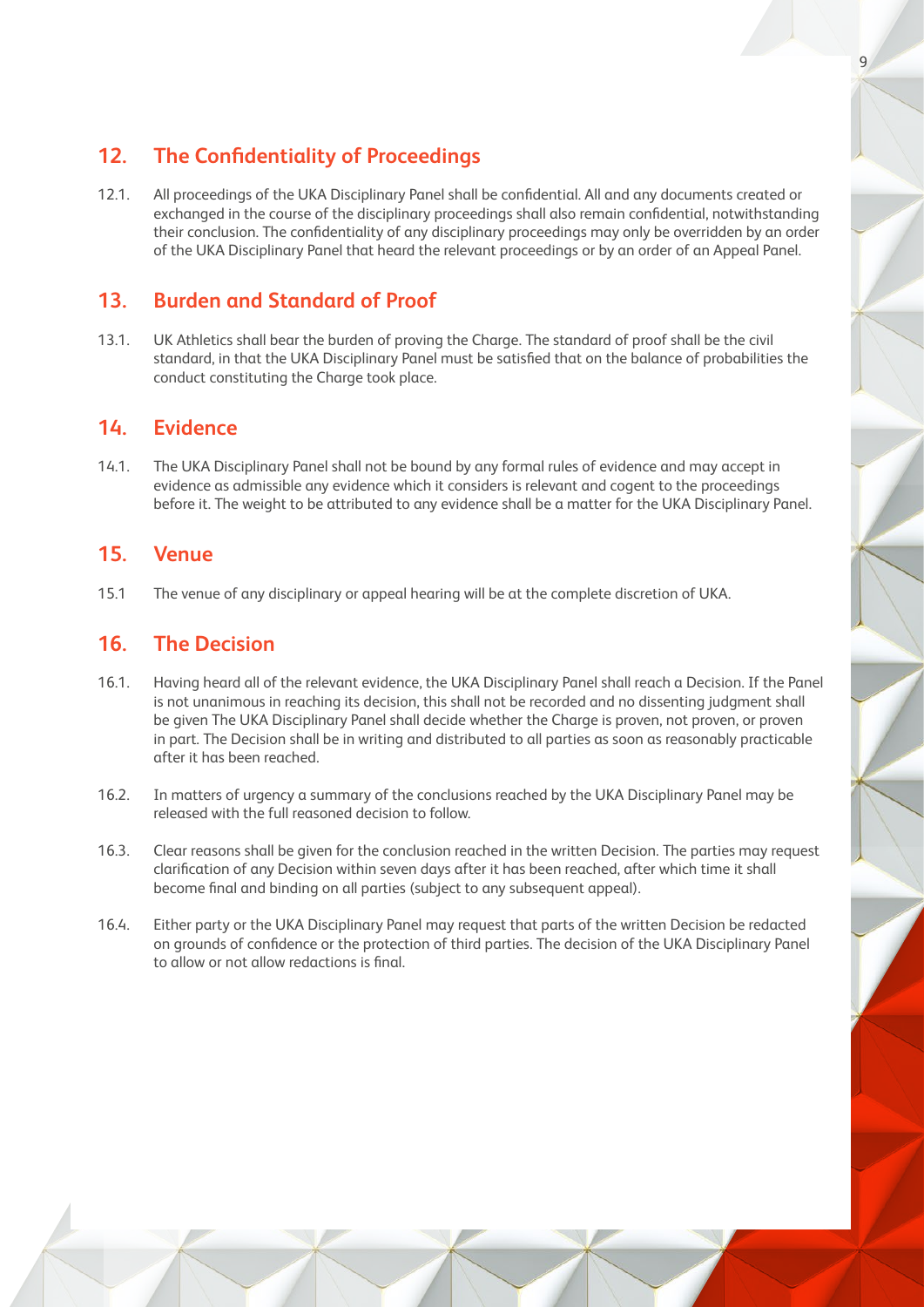## **12. The Confidentiality of Proceedings**

12.1. All proceedings of the UKA Disciplinary Panel shall be confidential. All and any documents created or exchanged in the course of the disciplinary proceedings shall also remain confidential, notwithstanding their conclusion. The confidentiality of any disciplinary proceedings may only be overridden by an order of the UKA Disciplinary Panel that heard the relevant proceedings or by an order of an Appeal Panel.

## **13. Burden and Standard of Proof**

13.1. UK Athletics shall bear the burden of proving the Charge. The standard of proof shall be the civil standard, in that the UKA Disciplinary Panel must be satisfied that on the balance of probabilities the conduct constituting the Charge took place.

## **14. Evidence**

14.1. The UKA Disciplinary Panel shall not be bound by any formal rules of evidence and may accept in evidence as admissible any evidence which it considers is relevant and cogent to the proceedings before it. The weight to be attributed to any evidence shall be a matter for the UKA Disciplinary Panel.

## **15. Venue**

15.1 The venue of any disciplinary or appeal hearing will be at the complete discretion of UKA.

## **16. The Decision**

- 16.1. Having heard all of the relevant evidence, the UKA Disciplinary Panel shall reach a Decision. If the Panel is not unanimous in reaching its decision, this shall not be recorded and no dissenting judgment shall be given The UKA Disciplinary Panel shall decide whether the Charge is proven, not proven, or proven in part. The Decision shall be in writing and distributed to all parties as soon as reasonably practicable after it has been reached.
- 16.2. In matters of urgency a summary of the conclusions reached by the UKA Disciplinary Panel may be released with the full reasoned decision to follow.
- 16.3. Clear reasons shall be given for the conclusion reached in the written Decision. The parties may request clarification of any Decision within seven days after it has been reached, after which time it shall become final and binding on all parties (subject to any subsequent appeal).
- 16.4. Either party or the UKA Disciplinary Panel may request that parts of the written Decision be redacted on grounds of confidence or the protection of third parties. The decision of the UKA Disciplinary Panel to allow or not allow redactions is final.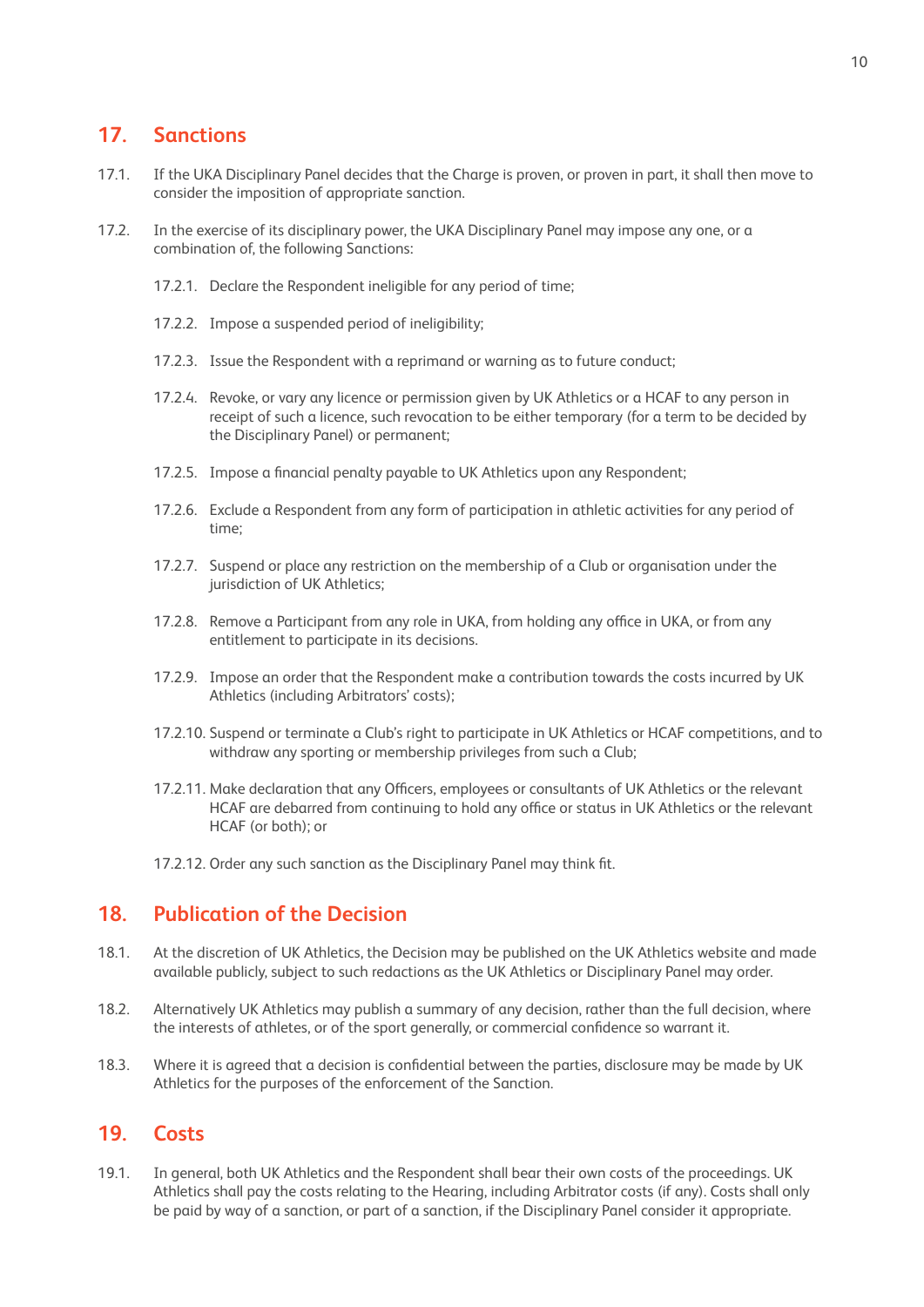## **17. Sanctions**

- 17.1. If the UKA Disciplinary Panel decides that the Charge is proven, or proven in part, it shall then move to consider the imposition of appropriate sanction.
- 17.2. In the exercise of its disciplinary power, the UKA Disciplinary Panel may impose any one, or a combination of, the following Sanctions:
	- 17.2.1. Declare the Respondent ineligible for any period of time;
	- 17.2.2. Impose a suspended period of ineligibility;
	- 17.2.3. Issue the Respondent with a reprimand or warning as to future conduct;
	- 17.2.4. Revoke, or vary any licence or permission given by UK Athletics or a HCAF to any person in receipt of such a licence, such revocation to be either temporary (for a term to be decided by the Disciplinary Panel) or permanent;
	- 17.2.5. Impose a financial penalty payable to UK Athletics upon any Respondent;
	- 17.2.6. Exclude a Respondent from any form of participation in athletic activities for any period of time;
	- 17.2.7. Suspend or place any restriction on the membership of a Club or organisation under the jurisdiction of UK Athletics;
	- 17.2.8. Remove a Participant from any role in UKA, from holding any office in UKA, or from any entitlement to participate in its decisions.
	- 17.2.9. Impose an order that the Respondent make a contribution towards the costs incurred by UK Athletics (including Arbitrators' costs);
	- 17.2.10. Suspend or terminate a Club's right to participate in UK Athletics or HCAF competitions, and to withdraw any sporting or membership privileges from such a Club;
	- 17.2.11. Make declaration that any Officers, employees or consultants of UK Athletics or the relevant HCAF are debarred from continuing to hold any office or status in UK Athletics or the relevant HCAF (or both); or
	- 17.2.12. Order any such sanction as the Disciplinary Panel may think fit.

#### **18. Publication of the Decision**

- 18.1. At the discretion of UK Athletics, the Decision may be published on the UK Athletics website and made available publicly, subject to such redactions as the UK Athletics or Disciplinary Panel may order.
- 18.2. Alternatively UK Athletics may publish a summary of any decision, rather than the full decision, where the interests of athletes, or of the sport generally, or commercial confidence so warrant it.
- 18.3. Where it is agreed that a decision is confidential between the parties, disclosure may be made by UK Athletics for the purposes of the enforcement of the Sanction.

#### **19. Costs**

19.1. In general, both UK Athletics and the Respondent shall bear their own costs of the proceedings. UK Athletics shall pay the costs relating to the Hearing, including Arbitrator costs (if any). Costs shall only be paid by way of a sanction, or part of a sanction, if the Disciplinary Panel consider it appropriate.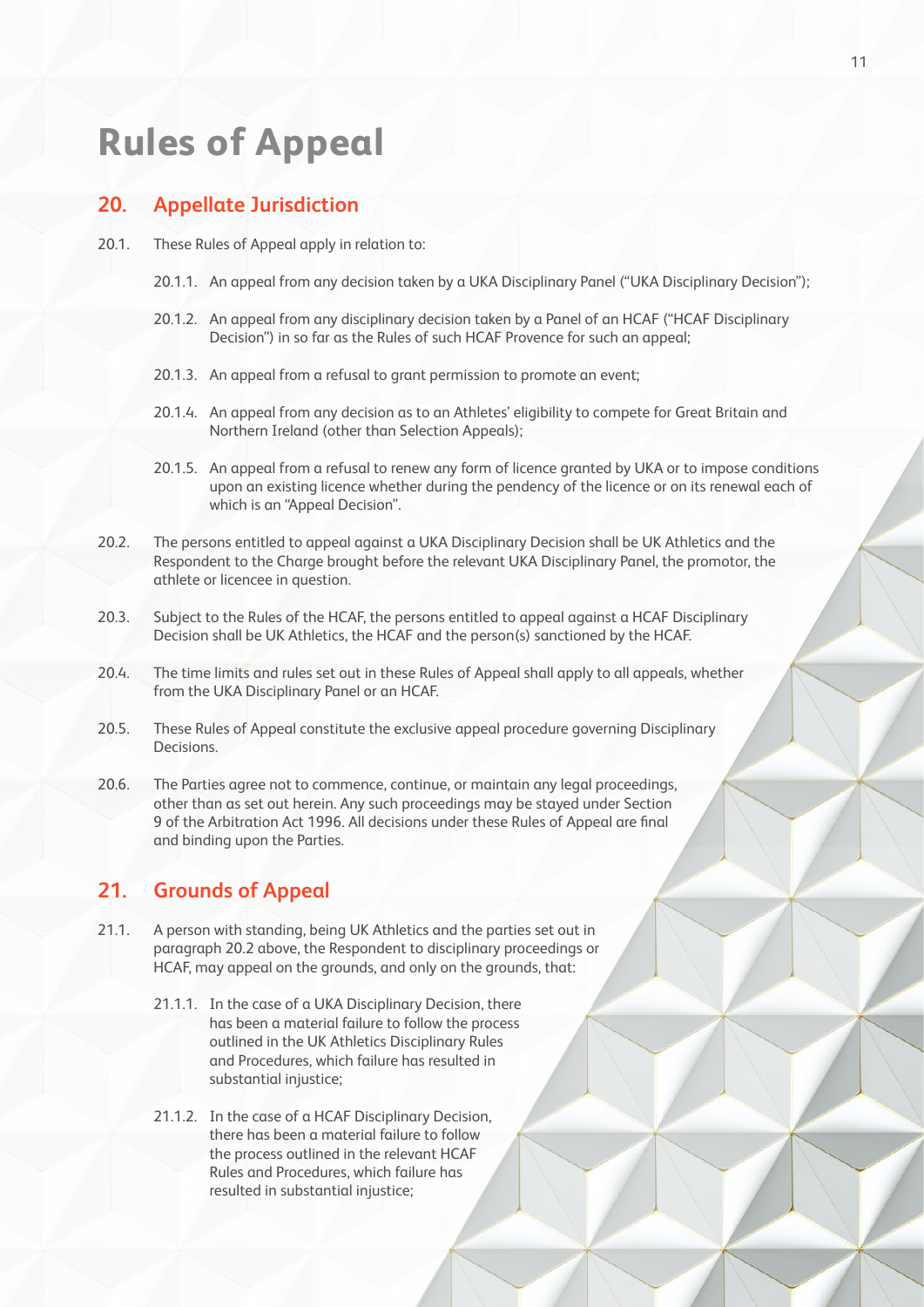## **Rules of Appeal**

#### **20. Appellate Jurisdiction**

- 20.1. These Rules of Appeal apply in relation to:
	- 20.1.1. An appeal from any decision taken by a UKA Disciplinary Panel ("UKA Disciplinary Decision");
	- 20.1.2. An appeal from any disciplinary decision taken by a Panel of an HCAF ("HCAF Disciplinary Decision") in so far as the Rules of such HCAF Provence for such an appeal;
	- 20.1.3. An appeal from a refusal to grant permission to promote an event;
	- 20.1.4. An appeal from any decision as to an Athletes' eligibility to compete for Great Britain and Northern Ireland (other than Selection Appeals);
	- 20.1.5. An appeal from a refusal to renew any form of licence granted by UKA or to impose conditions upon an existing licence whether during the pendency of the licence or on its renewal each of which is an "Appeal Decision".
- 20.2. The persons entitled to appeal against a UKA Disciplinary Decision shall be UK Athletics and the Respondent to the Charge brought before the relevant UKA Disciplinary Panel, the promotor, the athlete or licencee in question.
- 20.3. Subject to the Rules of the HCAF, the persons entitled to appeal against a HCAF Disciplinary Decision shall be UK Athletics, the HCAF and the person(s) sanctioned by the HCAF.
- 20.4. The time limits and rules set out in these Rules of Appeal shall apply to all appeals, whether from the UKA Disciplinary Panel or an HCAF.
- 20.5. These Rules of Appeal constitute the exclusive appeal procedure governing Disciplinary Decisions.
- 20.6. The Parties agree not to commence, continue, or maintain any legal proceedings, other than as set out herein. Any such proceedings may be stayed under Section 9 of the Arbitration Act 1996. All decisions under these Rules of Appeal are final and binding upon the Parties.

#### **21. Grounds of Appeal**

- 21.1. A person with standing, being UK Athletics and the parties set out in paragraph 20.2 above, the Respondent to disciplinary proceedings or HCAF, may appeal on the grounds, and only on the grounds, that:
	- 21.1.1. In the case of a UKA Disciplinary Decision, there has been a material failure to follow the process outlined in the UK Athletics Disciplinary Rules and Procedures, which failure has resulted in substantial injustice;
	- 21.1.2. In the case of a HCAF Disciplinary Decision, there has been a material failure to follow the process outlined in the relevant HCAF Rules and Procedures, which failure has resulted in substantial injustice;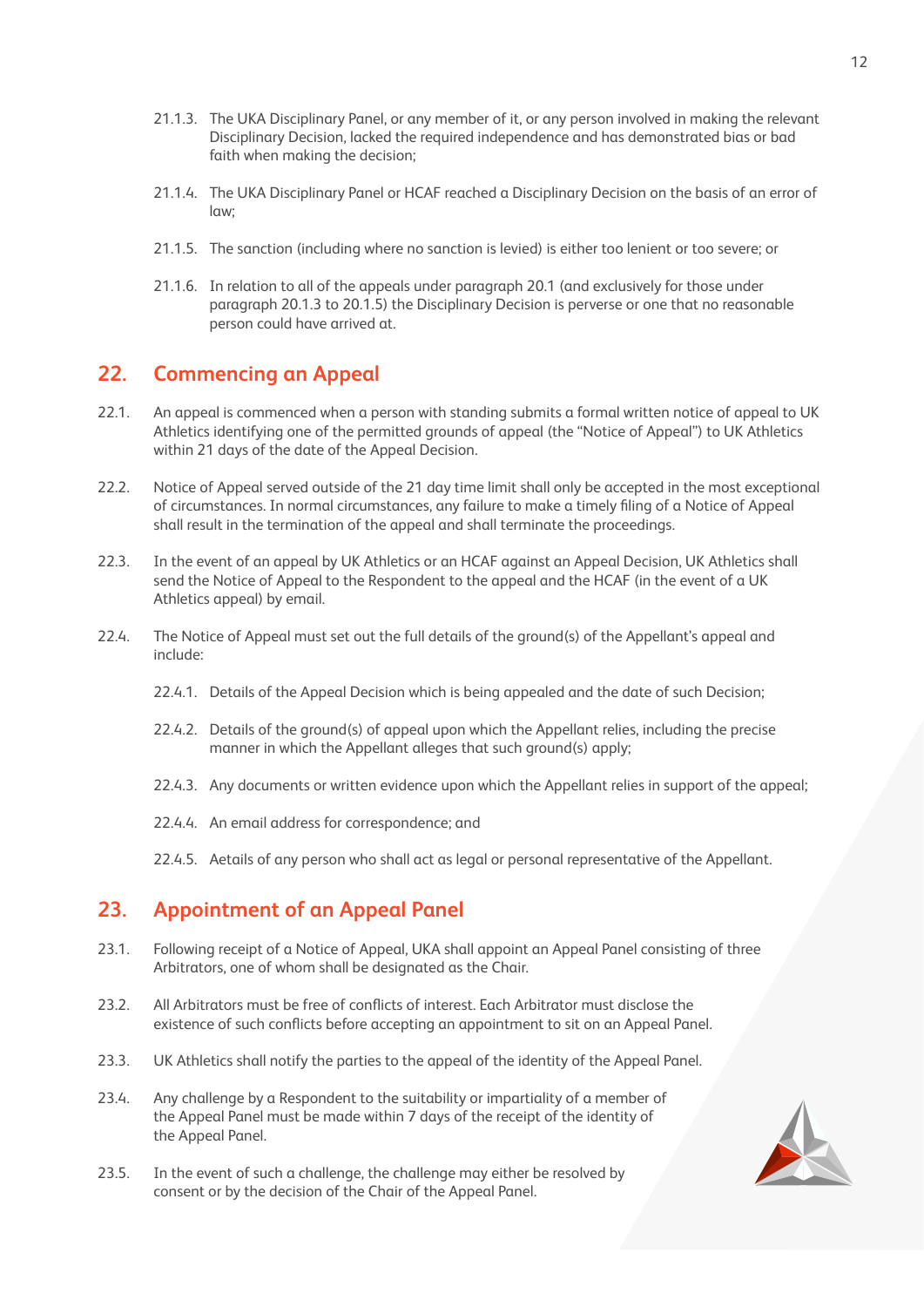- 21.1.3. The UKA Disciplinary Panel, or any member of it, or any person involved in making the relevant Disciplinary Decision, lacked the required independence and has demonstrated bias or bad faith when making the decision;
- 21.1.4. The UKA Disciplinary Panel or HCAF reached a Disciplinary Decision on the basis of an error of law;
- 21.1.5. The sanction (including where no sanction is levied) is either too lenient or too severe; or
- 21.1.6. In relation to all of the appeals under paragraph 20.1 (and exclusively for those under paragraph 20.1.3 to 20.1.5) the Disciplinary Decision is perverse or one that no reasonable person could have arrived at.

## **22. Commencing an Appeal**

- 22.1. An appeal is commenced when a person with standing submits a formal written notice of appeal to UK Athletics identifying one of the permitted grounds of appeal (the "Notice of Appeal") to UK Athletics within 21 days of the date of the Appeal Decision.
- 22.2. Notice of Appeal served outside of the 21 day time limit shall only be accepted in the most exceptional of circumstances. In normal circumstances, any failure to make a timely filing of a Notice of Appeal shall result in the termination of the appeal and shall terminate the proceedings.
- 22.3. In the event of an appeal by UK Athletics or an HCAF against an Appeal Decision, UK Athletics shall send the Notice of Appeal to the Respondent to the appeal and the HCAF (in the event of a UK Athletics appeal) by email.
- 22.4. The Notice of Appeal must set out the full details of the ground(s) of the Appellant's appeal and include:
	- 22.4.1. Details of the Appeal Decision which is being appealed and the date of such Decision;
	- 22.4.2. Details of the ground(s) of appeal upon which the Appellant relies, including the precise manner in which the Appellant alleges that such ground(s) apply;
	- 22.4.3. Any documents or written evidence upon which the Appellant relies in support of the appeal;
	- 22.4.4. An email address for correspondence; and
	- 22.4.5. Aetails of any person who shall act as legal or personal representative of the Appellant.

## **23. Appointment of an Appeal Panel**

- 23.1. Following receipt of a Notice of Appeal, UKA shall appoint an Appeal Panel consisting of three Arbitrators, one of whom shall be designated as the Chair.
- 23.2. All Arbitrators must be free of conflicts of interest. Each Arbitrator must disclose the existence of such conflicts before accepting an appointment to sit on an Appeal Panel.
- 23.3. UK Athletics shall notify the parties to the appeal of the identity of the Appeal Panel.
- 23.4. Any challenge by a Respondent to the suitability or impartiality of a member of the Appeal Panel must be made within 7 days of the receipt of the identity of the Appeal Panel.
- 23.5. In the event of such a challenge, the challenge may either be resolved by consent or by the decision of the Chair of the Appeal Panel.

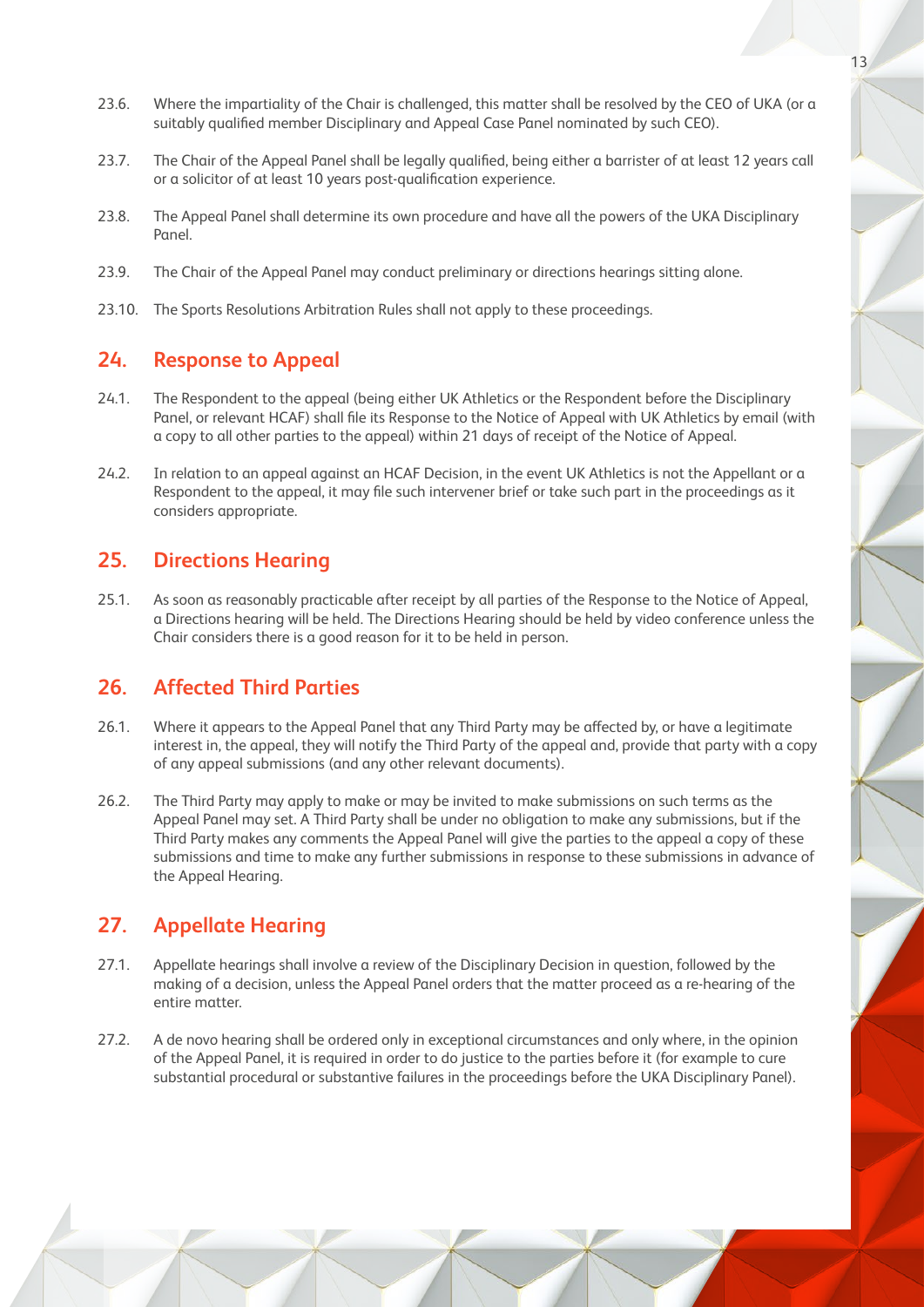- 23.6. Where the impartiality of the Chair is challenged, this matter shall be resolved by the CEO of UKA (or a suitably qualified member Disciplinary and Appeal Case Panel nominated by such CEO).
- 23.7. The Chair of the Appeal Panel shall be legally qualified, being either a barrister of at least 12 years call or a solicitor of at least 10 years post-qualification experience.
- 23.8. The Appeal Panel shall determine its own procedure and have all the powers of the UKA Disciplinary Panel
- 23.9. The Chair of the Appeal Panel may conduct preliminary or directions hearings sitting alone.
- 23.10. The Sports Resolutions Arbitration Rules shall not apply to these proceedings.

#### **24. Response to Appeal**

- 24.1. The Respondent to the appeal (being either UK Athletics or the Respondent before the Disciplinary Panel, or relevant HCAF) shall file its Response to the Notice of Appeal with UK Athletics by email (with a copy to all other parties to the appeal) within 21 days of receipt of the Notice of Appeal.
- 24.2. In relation to an appeal against an HCAF Decision, in the event UK Athletics is not the Appellant or a Respondent to the appeal, it may file such intervener brief or take such part in the proceedings as it considers appropriate.

#### **25. Directions Hearing**

25.1. As soon as reasonably practicable after receipt by all parties of the Response to the Notice of Appeal, a Directions hearing will be held. The Directions Hearing should be held by video conference unless the Chair considers there is a good reason for it to be held in person.

#### **26. Affected Third Parties**

- 26.1. Where it appears to the Appeal Panel that any Third Party may be affected by, or have a legitimate interest in, the appeal, they will notify the Third Party of the appeal and, provide that party with a copy of any appeal submissions (and any other relevant documents).
- 26.2. The Third Party may apply to make or may be invited to make submissions on such terms as the Appeal Panel may set. A Third Party shall be under no obligation to make any submissions, but if the Third Party makes any comments the Appeal Panel will give the parties to the appeal a copy of these submissions and time to make any further submissions in response to these submissions in advance of the Appeal Hearing.

## **27. Appellate Hearing**

- 27.1. Appellate hearings shall involve a review of the Disciplinary Decision in question, followed by the making of a decision, unless the Appeal Panel orders that the matter proceed as a re-hearing of the entire matter.
- 27.2. A de novo hearing shall be ordered only in exceptional circumstances and only where, in the opinion of the Appeal Panel, it is required in order to do justice to the parties before it (for example to cure substantial procedural or substantive failures in the proceedings before the UKA Disciplinary Panel).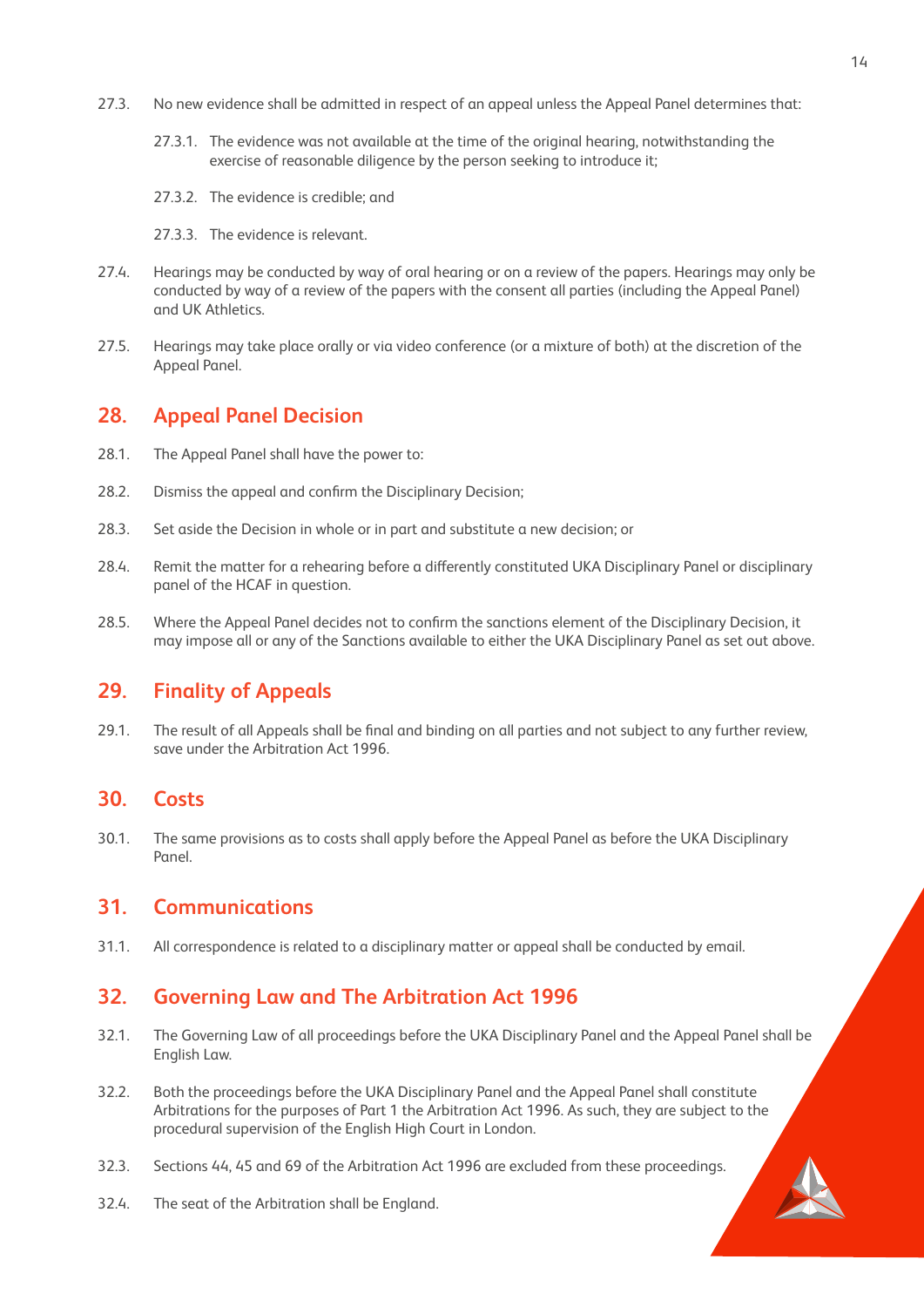- 27.3. No new evidence shall be admitted in respect of an appeal unless the Appeal Panel determines that:
	- 27.3.1. The evidence was not available at the time of the original hearing, notwithstanding the exercise of reasonable diligence by the person seeking to introduce it;
	- 27.3.2. The evidence is credible; and
	- 27.3.3. The evidence is relevant.
- 27.4. Hearings may be conducted by way of oral hearing or on a review of the papers. Hearings may only be conducted by way of a review of the papers with the consent all parties (including the Appeal Panel) and UK Athletics.
- 27.5. Hearings may take place orally or via video conference (or a mixture of both) at the discretion of the Appeal Panel.

#### **28. Appeal Panel Decision**

- 28.1. The Appeal Panel shall have the power to:
- 28.2. Dismiss the appeal and confirm the Disciplinary Decision;
- 28.3. Set aside the Decision in whole or in part and substitute a new decision; or
- 28.4. Remit the matter for a rehearing before a differently constituted UKA Disciplinary Panel or disciplinary panel of the HCAF in question.
- 28.5. Where the Appeal Panel decides not to confirm the sanctions element of the Disciplinary Decision, it may impose all or any of the Sanctions available to either the UKA Disciplinary Panel as set out above.

#### **29. Finality of Appeals**

29.1. The result of all Appeals shall be final and binding on all parties and not subject to any further review, save under the Arbitration Act 1996.

#### **30. Costs**

30.1. The same provisions as to costs shall apply before the Appeal Panel as before the UKA Disciplinary Panel.

#### **31. Communications**

31.1. All correspondence is related to a disciplinary matter or appeal shall be conducted by email.

#### **32. Governing Law and The Arbitration Act 1996**

- 32.1. The Governing Law of all proceedings before the UKA Disciplinary Panel and the Appeal Panel shall be English Law.
- 32.2. Both the proceedings before the UKA Disciplinary Panel and the Appeal Panel shall constitute Arbitrations for the purposes of Part 1 the Arbitration Act 1996. As such, they are subject to the procedural supervision of the English High Court in London.
- 32.3. Sections 44, 45 and 69 of the Arbitration Act 1996 are excluded from these proceedings.
- 32.4. The seat of the Arbitration shall be England.